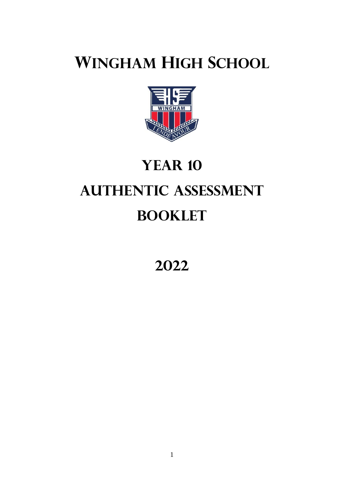# **WINGHAM HIGH SCHOOL**



# **YEAR 10 AUTHENTIC ASSESSMENT BOOKLET**

**2022**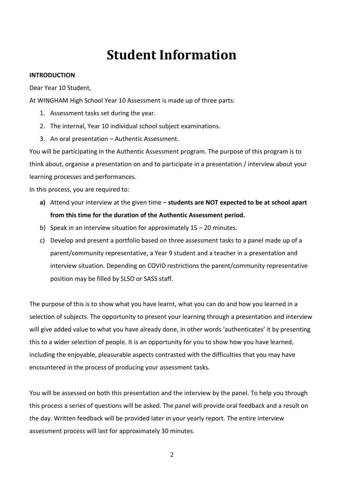# **Student Information**

#### **INTRODUCTION**

Dear Year 10 Student,

At WINGHAM High School Year 10 Assessment is made up of three parts:

- 1. Assessment tasks set during the year.
- 2. The internal, Year 10 individual school subject examinations.
- 3. An oral presentation Authentic Assessment.

You will be participating in the Authentic Assessment program. The purpose of this program is to think about, organise a presentation on and to participate in a presentation / interview about your learning processes and performances.

In this process, you are required to:

- **a)** Attend your interview at the given time **students are NOT expected to be at school apart from this time for the duration of the Authentic Assessment period.**
- b) Speak in an interview situation for approximately  $15 20$  minutes.
- c) Develop and present a portfolio based on three assessment tasks to a panel made up of a parent/community representative, a Year 9 student and a teacher in a presentation and interview situation. Depending on COVID restrictions the parent/community representative position may be filled by SLSO or SASS staff.

The purpose of this is to show what you have learnt, what you can do and how you learned in a selection of subjects. The opportunity to present your learning through a presentation and interview will give added value to what you have already done, in other words 'authenticates' it by presenting this to a wider selection of people. It is an opportunity for you to show how you have learned, including the enjoyable, pleasurable aspects contrasted with the difficulties that you may have encountered in the process of producing your assessment tasks.

You will be assessed on both this presentation and the interview by the panel. To help you through this process a series of questions will be asked. The panel will provide oral feedback and a result on the day. Written feedback will be provided later in your yearly report. The entire interview assessment process will last for approximately 30 minutes.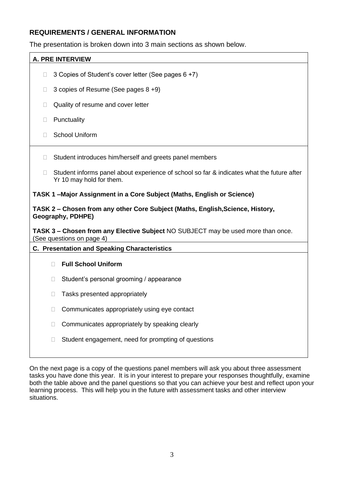#### **REQUIREMENTS / GENERAL INFORMATION**

The presentation is broken down into 3 main sections as shown below.

| <b>A. PRE INTERVIEW</b>                                               |        |                                                                                                                       |  |  |
|-----------------------------------------------------------------------|--------|-----------------------------------------------------------------------------------------------------------------------|--|--|
| 0                                                                     |        | 3 Copies of Student's cover letter (See pages 6 +7)                                                                   |  |  |
| П                                                                     |        | 3 copies of Resume (See pages 8 +9)                                                                                   |  |  |
| П                                                                     |        | Quality of resume and cover letter                                                                                    |  |  |
| П                                                                     |        | Punctuality                                                                                                           |  |  |
| П                                                                     |        | <b>School Uniform</b>                                                                                                 |  |  |
| П.                                                                    |        | Student introduces him/herself and greets panel members                                                               |  |  |
| П                                                                     |        | Student informs panel about experience of school so far & indicates what the future after<br>Yr 10 may hold for them. |  |  |
| TASK 1-Major Assignment in a Core Subject (Maths, English or Science) |        |                                                                                                                       |  |  |
|                                                                       |        |                                                                                                                       |  |  |
|                                                                       |        | TASK 2 – Chosen from any other Core Subject (Maths, English, Science, History,<br>Geography, PDHPE)                   |  |  |
|                                                                       |        | TASK 3 - Chosen from any Elective Subject NO SUBJECT may be used more than once.<br>(See questions on page 4)         |  |  |
|                                                                       |        | <b>C. Presentation and Speaking Characteristics</b>                                                                   |  |  |
|                                                                       | П      | <b>Full School Uniform</b>                                                                                            |  |  |
|                                                                       | $\Box$ | Student's personal grooming / appearance                                                                              |  |  |
|                                                                       | $\Box$ | Tasks presented appropriately                                                                                         |  |  |
|                                                                       | $\Box$ | Communicates appropriately using eye contact                                                                          |  |  |
|                                                                       | $\Box$ | Communicates appropriately by speaking clearly                                                                        |  |  |

On the next page is a copy of the questions panel members will ask you about three assessment tasks you have done this year. It is in your interest to prepare your responses thoughtfully, examine both the table above and the panel questions so that you can achieve your best and reflect upon your learning process. This will help you in the future with assessment tasks and other interview situations.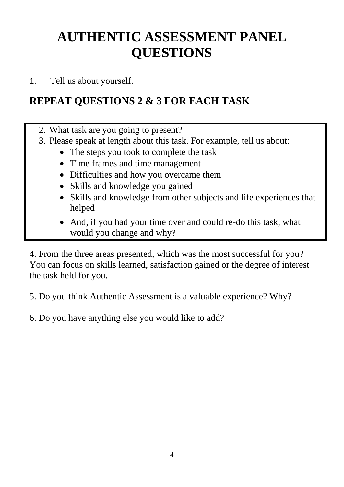# **AUTHENTIC ASSESSMENT PANEL QUESTIONS**

1. Tell us about yourself.

### **REPEAT QUESTIONS 2 & 3 FOR EACH TASK**

- 2. What task are you going to present?
- 3. Please speak at length about this task. For example, tell us about:
	- The steps you took to complete the task
	- Time frames and time management
	- Difficulties and how you overcame them
	- Skills and knowledge you gained
	- Skills and knowledge from other subjects and life experiences that helped
	- And, if you had your time over and could re-do this task, what would you change and why?

4. From the three areas presented, which was the most successful for you? You can focus on skills learned, satisfaction gained or the degree of interest the task held for you.

5. Do you think Authentic Assessment is a valuable experience? Why?

6. Do you have anything else you would like to add?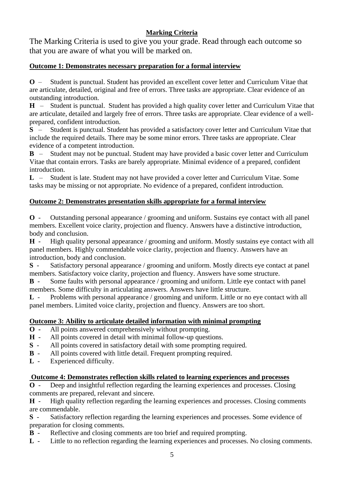#### **Marking Criteria**

The Marking Criteria is used to give you your grade. Read through each outcome so that you are aware of what you will be marked on.

#### **Outcome 1: Demonstrates necessary preparation for a formal interview**

**O** – Student is punctual. Student has provided an excellent cover letter and Curriculum Vitae that are articulate, detailed, original and free of errors. Three tasks are appropriate. Clear evidence of an outstanding introduction.

**H** – Student is punctual. Student has provided a high quality cover letter and Curriculum Vitae that are articulate, detailed and largely free of errors. Three tasks are appropriate. Clear evidence of a wellprepared, confident introduction.

**S** – Student is punctual. Student has provided a satisfactory cover letter and Curriculum Vitae that include the required details. There may be some minor errors. Three tasks are appropriate. Clear evidence of a competent introduction.

**B** – Student may not be punctual. Student may have provided a basic cover letter and Curriculum Vitae that contain errors. Tasks are barely appropriate. Minimal evidence of a prepared, confident introduction.

**L** – Student is late. Student may not have provided a cover letter and Curriculum Vitae. Some tasks may be missing or not appropriate. No evidence of a prepared, confident introduction.

#### **Outcome 2: Demonstrates presentation skills appropriate for a formal interview**

**O** - Outstanding personal appearance / grooming and uniform. Sustains eye contact with all panel members. Excellent voice clarity, projection and fluency. Answers have a distinctive introduction, body and conclusion.

**H** - High quality personal appearance / grooming and uniform. Mostly sustains eye contact with all panel members. Highly commendable voice clarity, projection and fluency. Answers have an introduction, body and conclusion.

**S** - Satisfactory personal appearance / grooming and uniform. Mostly directs eye contact at panel members. Satisfactory voice clarity, projection and fluency. Answers have some structure.

**B** - Some faults with personal appearance / grooming and uniform. Little eye contact with panel members. Some difficulty in articulating answers. Answers have little structure.

**L** - Problems with personal appearance / grooming and uniform. Little or no eye contact with all panel members. Limited voice clarity, projection and fluency. Answers are too short.

#### **Outcome 3: Ability to articulate detailed information with minimal prompting**

- **O -** All points answered comprehensively without prompting.
- **H** All points covered in detail with minimal follow-up questions.<br>S All points covered in satisfactory detail with some prompting r
- All points covered in satisfactory detail with some prompting required.
- **B** All points covered with little detail. Frequent prompting required.
- **L** Experienced difficulty.

#### **Outcome 4: Demonstrates reflection skills related to learning experiences and processes**

**O** - Deep and insightful reflection regarding the learning experiences and processes. Closing comments are prepared, relevant and sincere.

**H** - High quality reflection regarding the learning experiences and processes. Closing comments are commendable.

**S** - Satisfactory reflection regarding the learning experiences and processes. Some evidence of preparation for closing comments.

- **B** Reflective and closing comments are too brief and required prompting.
- **L** Little to no reflection regarding the learning experiences and processes. No closing comments.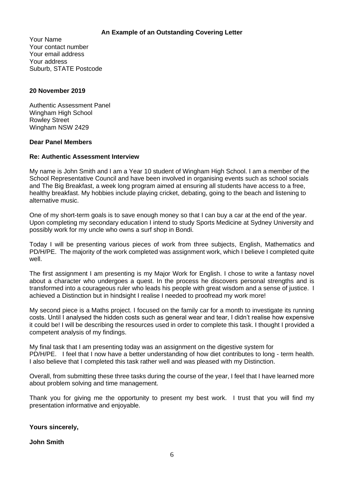#### **An Example of an Outstanding Covering Letter**

Your Name Your contact number Your email address Your address Suburb, STATE Postcode

#### **20 November 2019**

Authentic Assessment Panel Wingham High School Rowley Street Wingham NSW 2429

#### **Dear Panel Members**

#### **Re: Authentic Assessment Interview**

My name is John Smith and I am a Year 10 student of Wingham High School. I am a member of the School Representative Council and have been involved in organising events such as school socials and The Big Breakfast, a week long program aimed at ensuring all students have access to a free, healthy breakfast. My hobbies include playing cricket, debating, going to the beach and listening to alternative music.

One of my short-term goals is to save enough money so that I can buy a car at the end of the year. Upon completing my secondary education I intend to study Sports Medicine at Sydney University and possibly work for my uncle who owns a surf shop in Bondi.

Today I will be presenting various pieces of work from three subjects, English, Mathematics and PD/H/PE. The majority of the work completed was assignment work, which I believe I completed quite well.

The first assignment I am presenting is my Major Work for English. I chose to write a fantasy novel about a character who undergoes a quest. In the process he discovers personal strengths and is transformed into a courageous ruler who leads his people with great wisdom and a sense of justice. I achieved a Distinction but in hindsight I realise I needed to proofread my work more!

My second piece is a Maths project. I focused on the family car for a month to investigate its running costs. Until I analysed the hidden costs such as general wear and tear, I didn't realise how expensive it could be! I will be describing the resources used in order to complete this task. I thought I provided a competent analysis of my findings.

My final task that I am presenting today was an assignment on the digestive system for PD/H/PE. I feel that I now have a better understanding of how diet contributes to long - term health. I also believe that I completed this task rather well and was pleased with my Distinction.

Overall, from submitting these three tasks during the course of the year, I feel that I have learned more about problem solving and time management.

Thank you for giving me the opportunity to present my best work. I trust that you will find my presentation informative and enjoyable.

#### **Yours sincerely,**

#### **John Smith**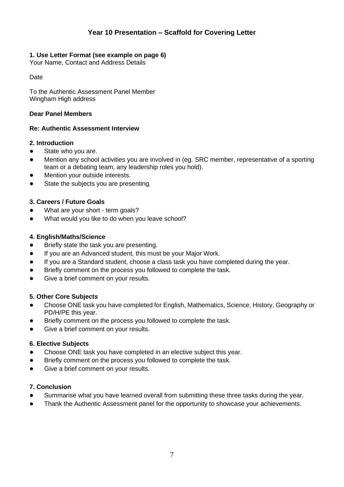#### **1. Use Letter Format (see example on page 6)**

Your Name, Contact and Address Details

Date

To the Authentic Assessment Panel Member Wingham High address

#### **Dear Panel Members**

#### **Re: Authentic Assessment Interview**

#### **2. Introduction**

- State who you are.
- Mention any school activities you are involved in (eg. SRC member, representative of a sporting team or a debating team, any leadership roles you hold).
- Mention your outside interests.
- State the subjects you are presenting.

#### **3. Careers / Future Goals**

- What are your short term goals?
- What would you like to do when you leave school?

#### **4. English/Maths/Science**

- Briefly state the task you are presenting.
- If you are an Advanced student, this must be your Major Work.
- If you are a Standard student, choose a class task you have completed during the year.
- Briefly comment on the process you followed to complete the task.
- Give a brief comment on your results.

#### **5. Other Core Subjects**

- Choose ONE task you have completed for English, Mathematics, Science, History, Geography or PD/H/PE this year.
- Briefly comment on the process you followed to complete the task.
- Give a brief comment on your results.

#### **6. Elective Subjects**

- Choose ONE task you have completed in an elective subject this year.
- Briefly comment on the process you followed to complete the task.
- Give a brief comment on your results.

#### **7. Conclusion**

- Summarise what you have learned overall from submitting these three tasks during the year.
- Thank the Authentic Assessment panel for the opportunity to showcase your achievements.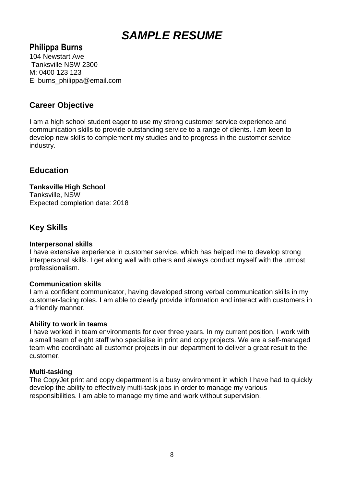### *SAMPLE RESUME*

#### **Philippa Burns**

104 Newstart Ave Tanksville NSW 2300 M: 0400 123 123 E: burns\_philippa@email.com

#### **Career Objective**

I am a high school student eager to use my strong customer service experience and communication skills to provide outstanding service to a range of clients. I am keen to develop new skills to complement my studies and to progress in the customer service industry.

#### **Education**

**Tanksville High School** Tanksville, NSW Expected completion date: 2018

#### **Key Skills**

#### **Interpersonal skills**

I have extensive experience in customer service, which has helped me to develop strong interpersonal skills. I get along well with others and always conduct myself with the utmost professionalism.

#### **Communication skills**

I am a confident communicator, having developed strong verbal communication skills in my customer-facing roles. I am able to clearly provide information and interact with customers in a friendly manner.

#### **Ability to work in teams**

I have worked in team environments for over three years. In my current position, I work with a small team of eight staff who specialise in print and copy projects. We are a self-managed team who coordinate all customer projects in our department to deliver a great result to the customer.

#### **Multi-tasking**

The CopyJet print and copy department is a busy environment in which I have had to quickly develop the ability to effectively multi-task jobs in order to manage my various responsibilities. I am able to manage my time and work without supervision.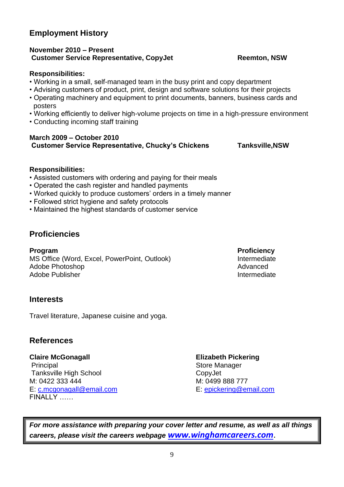#### **Employment History**

#### **November 2010 – Present Customer Service Representative, CopyJet Reemton, NSW**

#### **Responsibilities:**

- Working in a small, self-managed team in the busy print and copy department
- Advising customers of product, print, design and software solutions for their projects
- Operating machinery and equipment to print documents, banners, business cards and posters
- Working efficiently to deliver high-volume projects on time in a high-pressure environment
- Conducting incoming staff training

#### **March 2009 – October 2010 Customer Service Representative, Chucky's Chickens Tanksville,NSW**

#### **Responsibilities:**

- Assisted customers with ordering and paying for their meals
- Operated the cash register and handled payments
- Worked quickly to produce customers' orders in a timely manner
- Followed strict hygiene and safety protocols
- Maintained the highest standards of customer service

#### **Proficiencies**

**Program Proficiency** MS Office (Word, Excel, PowerPoint, Outlook) **Intermediate** Adobe Photoshop **Advanced** Advanced Advanced Advanced Adobe Publisher **Internediate** Intermediate

#### **Interests**

Travel literature, Japanese cuisine and yoga.

#### **References**

**Claire McGonagall Elizabeth Pickering** Principal Store Manager Tanksville High School CopyJet M: 0422 333 444 M: 0499 888 777 E: [c.mcgonagall@email.com](mailto:c.mcgonagall@email.com) E: [epickering@email.com](mailto:epickering@email.com) FINALLY

*For more assistance with preparing your cover letter and resume, as well as all things careers, please visit the careers webpage [www.winghamcareers.com](http://www.winghamcareers.com/)*.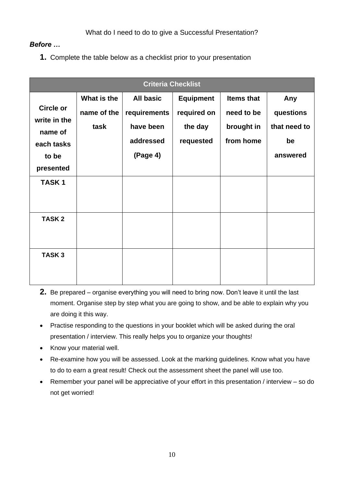#### *Before …*

**1.** Complete the table below as a checklist prior to your presentation

| <b>Criteria Checklist</b>                   |                                    |                                               |                                            |                                               |                                  |
|---------------------------------------------|------------------------------------|-----------------------------------------------|--------------------------------------------|-----------------------------------------------|----------------------------------|
| <b>Circle or</b><br>write in the            | What is the<br>name of the<br>task | <b>All basic</b><br>requirements<br>have been | <b>Equipment</b><br>required on<br>the day | <b>Items that</b><br>need to be<br>brought in | Any<br>questions<br>that need to |
| name of<br>each tasks<br>to be<br>presented |                                    | addressed<br>(Page 4)                         | requested                                  | from home                                     | be<br>answered                   |
| <b>TASK1</b>                                |                                    |                                               |                                            |                                               |                                  |
| <b>TASK2</b>                                |                                    |                                               |                                            |                                               |                                  |
| <b>TASK3</b>                                |                                    |                                               |                                            |                                               |                                  |

- **2.** Be prepared organise everything you will need to bring now. Don't leave it until the last moment. Organise step by step what you are going to show, and be able to explain why you are doing it this way.
- Practise responding to the questions in your booklet which will be asked during the oral presentation / interview. This really helps you to organize your thoughts!
- Know your material well.
- Re-examine how you will be assessed. Look at the marking guidelines. Know what you have to do to earn a great result! Check out the assessment sheet the panel will use too.
- Remember your panel will be appreciative of your effort in this presentation / interview so do not get worried!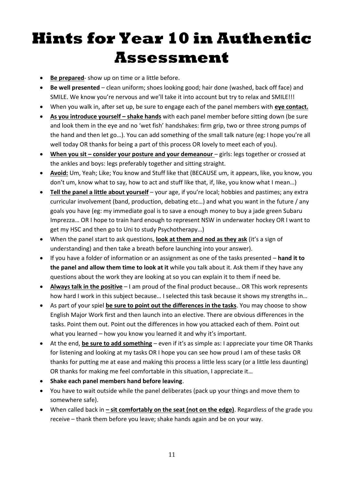# **Hints for Year 10 in Authentic Assessment**

- **Be prepared** show up on time or a little before.
- **Be well presented** clean uniform; shoes looking good; hair done (washed, back off face) and SMILE. We know you're nervous and we'll take it into account but try to relax and SMILE!!!
- When you walk in, after set up, be sure to engage each of the panel members with **eye contact.**
- As you introduce yourself shake hands with each panel member before sitting down (be sure and look them in the eye and no 'wet fish' handshakes: firm grip, two or three strong pumps of the hand and then let go…). You can add something of the small talk nature (eg: I hope you're all well today OR thanks for being a part of this process OR lovely to meet each of you).
- When you sit consider your posture and your demeanour girls: legs together or crossed at the ankles and boys: legs preferably together and sitting straight.
- **Avoid:** Um, Yeah; Like; You know and Stuff like that (BECAUSE um, it appears, like, you know, you don't um, know what to say, how to act and stuff like that, if, like, you know what I mean…)
- **Tell the panel a little about yourself** your age, if you're local; hobbies and pastimes; any extra curricular involvement (band, production, debating etc…) and what you want in the future / any goals you have (eg: my immediate goal is to save a enough money to buy a jade green Subaru Imprezza… OR I hope to train hard enough to represent NSW in underwater hockey OR I want to get my HSC and then go to Uni to study Psychotherapy…)
- When the panel start to ask questions, **look at them and nod as they ask** (it's a sign of understanding) and then take a breath before launching into your answer).
- If you have a folder of information or an assignment as one of the tasks presented **hand it to the panel and allow them time to look at it** while you talk about it. Ask them if they have any questions about the work they are looking at so you can explain it to them if need be.
- **Always talk in the positive** I am proud of the final product because... OR This work represents how hard I work in this subject because… I selected this task because it shows my strengths in…
- As part of your spiel **be sure to point out the differences in the tasks**. You may choose to show English Major Work first and then launch into an elective. There are obvious differences in the tasks. Point them out. Point out the differences in how you attacked each of them. Point out what you learned – how you know you learned it and why it's important.
- At the end, **be sure to add something** even if it's as simple as: I appreciate your time OR Thanks for listening and looking at my tasks OR I hope you can see how proud I am of these tasks OR thanks for putting me at ease and making this process a little less scary (or a little less daunting) OR thanks for making me feel comfortable in this situation, I appreciate it…
- **Shake each panel members hand before leaving**.
- You have to wait outside while the panel deliberates (pack up your things and move them to somewhere safe).
- When called back in **– sit comfortably on the seat (not on the edge)**. Regardless of the grade you receive – thank them before you leave; shake hands again and be on your way.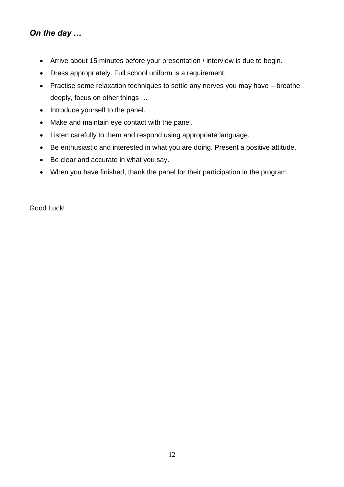### *On the day …*

- Arrive about 15 minutes before your presentation / interview is due to begin.
- Dress appropriately. Full school uniform is a requirement.
- Practise some relaxation techniques to settle any nerves you may have breathe deeply, focus on other things …
- Introduce yourself to the panel.
- Make and maintain eye contact with the panel.
- Listen carefully to them and respond using appropriate language.
- Be enthusiastic and interested in what you are doing. Present a positive attitude.
- Be clear and accurate in what you say.
- When you have finished, thank the panel for their participation in the program.

Good Luck!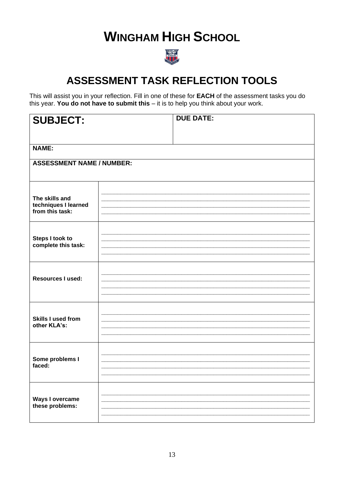# **WINGHAM HIGH SCHOOL**



### **ASSESSMENT TASK REFLECTION TOOLS**

This will assist you in your reflection. Fill in one of these for EACH of the assessment tasks you do this year. You do not have to submit this  $-$  it is to help you think about your work.

| <b>SUBJECT:</b>                                           | <b>DUE DATE:</b> |  |  |
|-----------------------------------------------------------|------------------|--|--|
|                                                           |                  |  |  |
| <b>NAME:</b>                                              |                  |  |  |
| <b>ASSESSMENT NAME / NUMBER:</b>                          |                  |  |  |
| The skills and<br>techniques I learned<br>from this task: |                  |  |  |
| Steps I took to<br>complete this task:                    |                  |  |  |
| <b>Resources I used:</b>                                  |                  |  |  |
| <b>Skills I used from</b><br>other KLA's:                 |                  |  |  |
| Some problems I<br>faced:                                 |                  |  |  |
| Ways I overcame<br>these problems:                        |                  |  |  |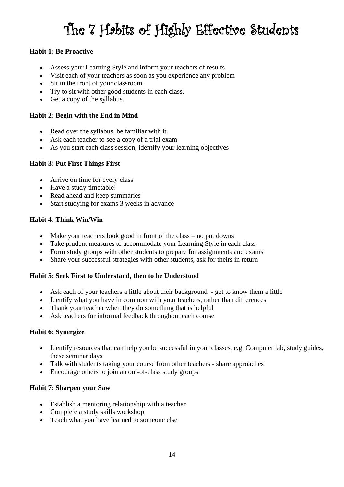# The 7 Habits of Highly Effective Students

#### **Habit 1: Be Proactive**

- Assess your Learning Style and inform your teachers of results
- Visit each of your teachers as soon as you experience any problem
- Sit in the front of your classroom.
- Try to sit with other good students in each class.
- Get a copy of the syllabus.

#### **Habit 2: Begin with the End in Mind**

- Read over the syllabus, be familiar with it.
- Ask each teacher to see a copy of a trial exam
- As you start each class session, identify your learning objectives

#### **Habit 3: Put First Things First**

- Arrive on time for every class
- Have a study timetable!
- Read ahead and keep summaries
- Start studying for exams 3 weeks in advance

#### **Habit 4: Think Win/Win**

- Make your teachers look good in front of the class no put downs
- Take prudent measures to accommodate your Learning Style in each class
- Form study groups with other students to prepare for assignments and exams
- Share your successful strategies with other students, ask for theirs in return

#### **Habit 5: Seek First to Understand, then to be Understood**

- Ask each of your teachers a little about their background get to know them a little
- Identify what you have in common with your teachers, rather than differences
- Thank your teacher when they do something that is helpful
- Ask teachers for informal feedback throughout each course

#### **Habit 6: Synergize**

- Identify resources that can help you be successful in your classes, e.g. Computer lab, study guides, these seminar days
- Talk with students taking your course from other teachers share approaches
- Encourage others to join an out-of-class study groups

#### **Habit 7: Sharpen your Saw**

- Establish a mentoring relationship with a teacher
- Complete a study skills workshop
- Teach what you have learned to someone else